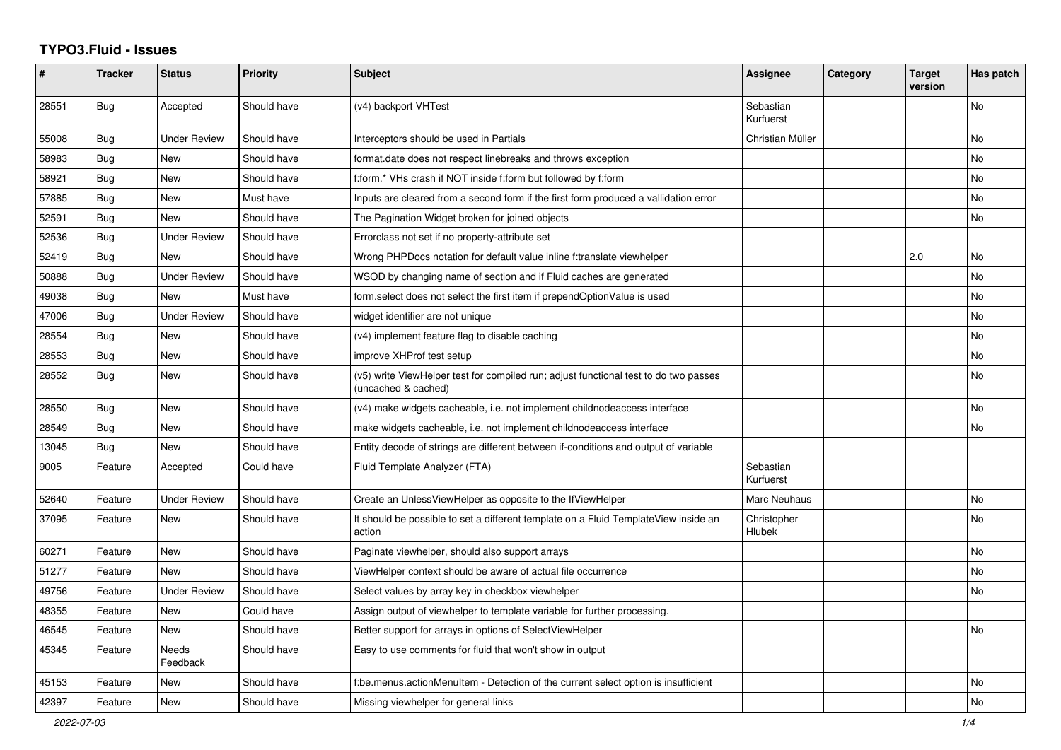## **TYPO3.Fluid - Issues**

| #     | <b>Tracker</b> | <b>Status</b>       | <b>Priority</b> | <b>Subject</b>                                                                                              | Assignee               | Category | <b>Target</b><br>version | Has patch |
|-------|----------------|---------------------|-----------------|-------------------------------------------------------------------------------------------------------------|------------------------|----------|--------------------------|-----------|
| 28551 | Bug            | Accepted            | Should have     | (v4) backport VHTest                                                                                        | Sebastian<br>Kurfuerst |          |                          | No        |
| 55008 | Bug            | <b>Under Review</b> | Should have     | Interceptors should be used in Partials                                                                     | Christian Müller       |          |                          | <b>No</b> |
| 58983 | Bug            | New                 | Should have     | format.date does not respect linebreaks and throws exception                                                |                        |          |                          | No        |
| 58921 | Bug            | New                 | Should have     | f:form.* VHs crash if NOT inside f:form but followed by f:form                                              |                        |          |                          | No        |
| 57885 | <b>Bug</b>     | <b>New</b>          | Must have       | Inputs are cleared from a second form if the first form produced a vallidation error                        |                        |          |                          | No        |
| 52591 | <b>Bug</b>     | New                 | Should have     | The Pagination Widget broken for joined objects                                                             |                        |          |                          | <b>No</b> |
| 52536 | Bug            | <b>Under Review</b> | Should have     | Errorclass not set if no property-attribute set                                                             |                        |          |                          |           |
| 52419 | <b>Bug</b>     | New                 | Should have     | Wrong PHPDocs notation for default value inline f:translate viewhelper                                      |                        |          | 2.0                      | No        |
| 50888 | <b>Bug</b>     | <b>Under Review</b> | Should have     | WSOD by changing name of section and if Fluid caches are generated                                          |                        |          |                          | <b>No</b> |
| 49038 | Bug            | New                 | Must have       | form select does not select the first item if prependOptionValue is used                                    |                        |          |                          | No        |
| 47006 | Bug            | <b>Under Review</b> | Should have     | widget identifier are not unique                                                                            |                        |          |                          | No        |
| 28554 | Bug            | New                 | Should have     | (v4) implement feature flag to disable caching                                                              |                        |          |                          | No        |
| 28553 | Bug            | New                 | Should have     | improve XHProf test setup                                                                                   |                        |          |                          | <b>No</b> |
| 28552 | <b>Bug</b>     | New                 | Should have     | (v5) write ViewHelper test for compiled run; adjust functional test to do two passes<br>(uncached & cached) |                        |          |                          | <b>No</b> |
| 28550 | Bug            | New                 | Should have     | (v4) make widgets cacheable, i.e. not implement childnodeaccess interface                                   |                        |          |                          | <b>No</b> |
| 28549 | Bug            | <b>New</b>          | Should have     | make widgets cacheable, i.e. not implement childnodeaccess interface                                        |                        |          |                          | <b>No</b> |
| 13045 | Bug            | New                 | Should have     | Entity decode of strings are different between if-conditions and output of variable                         |                        |          |                          |           |
| 9005  | Feature        | Accepted            | Could have      | Fluid Template Analyzer (FTA)                                                                               | Sebastian<br>Kurfuerst |          |                          |           |
| 52640 | Feature        | Under Review        | Should have     | Create an UnlessViewHelper as opposite to the IfViewHelper                                                  | Marc Neuhaus           |          |                          | <b>No</b> |
| 37095 | Feature        | New                 | Should have     | It should be possible to set a different template on a Fluid TemplateView inside an<br>action               | Christopher<br>Hlubek  |          |                          | No        |
| 60271 | Feature        | New                 | Should have     | Paginate viewhelper, should also support arrays                                                             |                        |          |                          | No        |
| 51277 | Feature        | <b>New</b>          | Should have     | ViewHelper context should be aware of actual file occurrence                                                |                        |          |                          | No        |
| 49756 | Feature        | <b>Under Review</b> | Should have     | Select values by array key in checkbox viewhelper                                                           |                        |          |                          | <b>No</b> |
| 48355 | Feature        | <b>New</b>          | Could have      | Assign output of viewhelper to template variable for further processing.                                    |                        |          |                          |           |
| 46545 | Feature        | New                 | Should have     | Better support for arrays in options of SelectViewHelper                                                    |                        |          |                          | No        |
| 45345 | Feature        | Needs<br>Feedback   | Should have     | Easy to use comments for fluid that won't show in output                                                    |                        |          |                          |           |
| 45153 | Feature        | New                 | Should have     | f:be.menus.actionMenuItem - Detection of the current select option is insufficient                          |                        |          |                          | <b>No</b> |
| 42397 | Feature        | New                 | Should have     | Missing viewhelper for general links                                                                        |                        |          |                          | No        |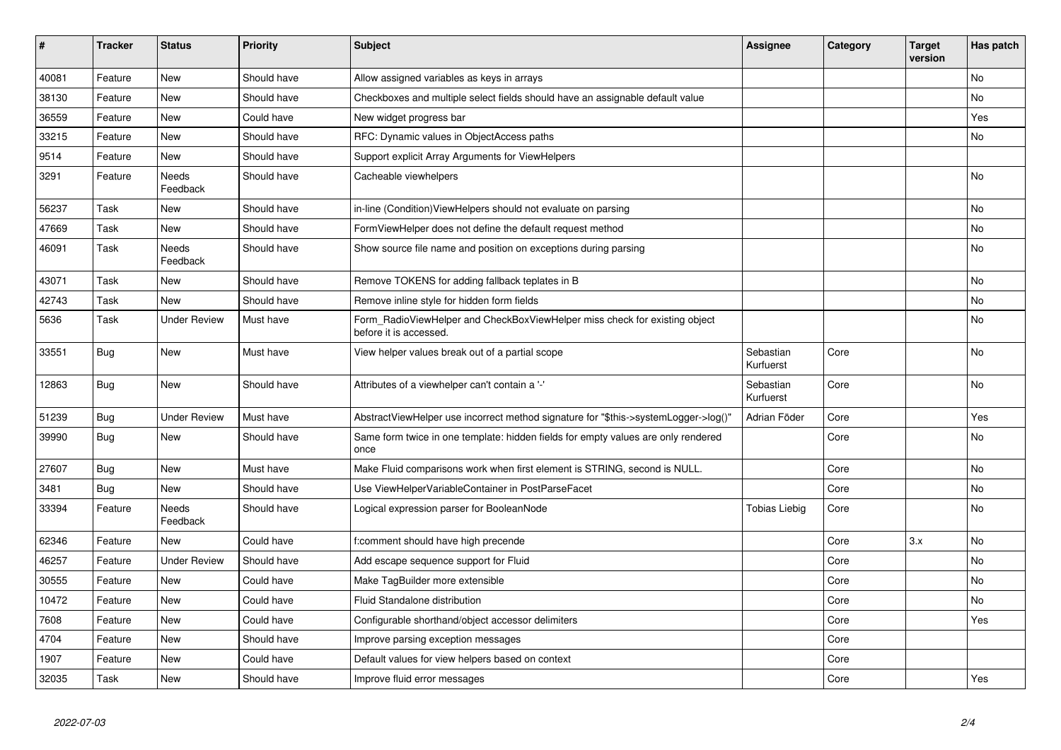| #     | <b>Tracker</b> | <b>Status</b>       | <b>Priority</b> | <b>Subject</b>                                                                                       | <b>Assignee</b>        | Category | Target<br>version | Has patch |
|-------|----------------|---------------------|-----------------|------------------------------------------------------------------------------------------------------|------------------------|----------|-------------------|-----------|
| 40081 | Feature        | <b>New</b>          | Should have     | Allow assigned variables as keys in arrays                                                           |                        |          |                   | <b>No</b> |
| 38130 | Feature        | New                 | Should have     | Checkboxes and multiple select fields should have an assignable default value                        |                        |          |                   | No        |
| 36559 | Feature        | <b>New</b>          | Could have      | New widget progress bar                                                                              |                        |          |                   | Yes       |
| 33215 | Feature        | New                 | Should have     | RFC: Dynamic values in ObjectAccess paths                                                            |                        |          |                   | <b>No</b> |
| 9514  | Feature        | New                 | Should have     | Support explicit Array Arguments for ViewHelpers                                                     |                        |          |                   |           |
| 3291  | Feature        | Needs<br>Feedback   | Should have     | Cacheable viewhelpers                                                                                |                        |          |                   | <b>No</b> |
| 56237 | Task           | New                 | Should have     | in-line (Condition) View Helpers should not evaluate on parsing                                      |                        |          |                   | <b>No</b> |
| 47669 | Task           | New                 | Should have     | FormViewHelper does not define the default request method                                            |                        |          |                   | <b>No</b> |
| 46091 | Task           | Needs<br>Feedback   | Should have     | Show source file name and position on exceptions during parsing                                      |                        |          |                   | No        |
| 43071 | Task           | New                 | Should have     | Remove TOKENS for adding fallback teplates in B                                                      |                        |          |                   | <b>No</b> |
| 42743 | Task           | New                 | Should have     | Remove inline style for hidden form fields                                                           |                        |          |                   | No        |
| 5636  | Task           | <b>Under Review</b> | Must have       | Form_RadioViewHelper and CheckBoxViewHelper miss check for existing object<br>before it is accessed. |                        |          |                   | No        |
| 33551 | <b>Bug</b>     | New                 | Must have       | View helper values break out of a partial scope                                                      | Sebastian<br>Kurfuerst | Core     |                   | No        |
| 12863 | <b>Bug</b>     | <b>New</b>          | Should have     | Attributes of a viewhelper can't contain a '-'                                                       | Sebastian<br>Kurfuerst | Core     |                   | No        |
| 51239 | <b>Bug</b>     | Under Review        | Must have       | AbstractViewHelper use incorrect method signature for "\$this->systemLogger->log()"                  | Adrian Föder           | Core     |                   | Yes       |
| 39990 | <b>Bug</b>     | <b>New</b>          | Should have     | Same form twice in one template: hidden fields for empty values are only rendered<br>once            |                        | Core     |                   | <b>No</b> |
| 27607 | <b>Bug</b>     | New                 | Must have       | Make Fluid comparisons work when first element is STRING, second is NULL.                            |                        | Core     |                   | <b>No</b> |
| 3481  | <b>Bug</b>     | New                 | Should have     | Use ViewHelperVariableContainer in PostParseFacet                                                    |                        | Core     |                   | <b>No</b> |
| 33394 | Feature        | Needs<br>Feedback   | Should have     | Logical expression parser for BooleanNode                                                            | Tobias Liebig          | Core     |                   | No        |
| 62346 | Feature        | <b>New</b>          | Could have      | f:comment should have high precende                                                                  |                        | Core     | 3.x               | <b>No</b> |
| 46257 | Feature        | <b>Under Review</b> | Should have     | Add escape sequence support for Fluid                                                                |                        | Core     |                   | No        |
| 30555 | Feature        | New                 | Could have      | Make TagBuilder more extensible                                                                      |                        | Core     |                   | <b>No</b> |
| 10472 | Feature        | New                 | Could have      | Fluid Standalone distribution                                                                        |                        | Core     |                   | No        |
| 7608  | Feature        | <b>New</b>          | Could have      | Configurable shorthand/object accessor delimiters                                                    |                        | Core     |                   | Yes       |
| 4704  | Feature        | New                 | Should have     | Improve parsing exception messages                                                                   |                        | Core     |                   |           |
| 1907  | Feature        | New                 | Could have      | Default values for view helpers based on context                                                     |                        | Core     |                   |           |
| 32035 | Task           | New                 | Should have     | Improve fluid error messages                                                                         |                        | Core     |                   | Yes       |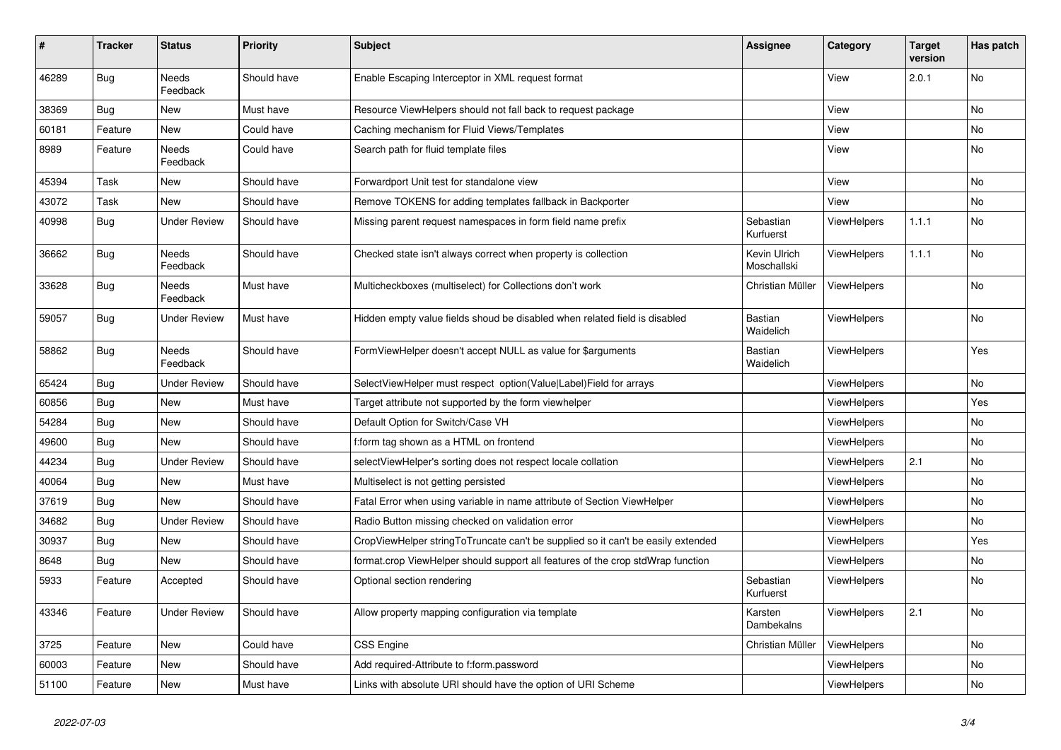| $\vert$ # | <b>Tracker</b> | <b>Status</b>            | <b>Priority</b> | <b>Subject</b>                                                                   | <b>Assignee</b>             | Category           | <b>Target</b><br>version | Has patch |
|-----------|----------------|--------------------------|-----------------|----------------------------------------------------------------------------------|-----------------------------|--------------------|--------------------------|-----------|
| 46289     | <b>Bug</b>     | <b>Needs</b><br>Feedback | Should have     | Enable Escaping Interceptor in XML request format                                |                             | View               | 2.0.1                    | No        |
| 38369     | Bug            | New                      | Must have       | Resource ViewHelpers should not fall back to request package                     |                             | View               |                          | No        |
| 60181     | Feature        | New                      | Could have      | Caching mechanism for Fluid Views/Templates                                      |                             | View               |                          | No        |
| 8989      | Feature        | Needs<br>Feedback        | Could have      | Search path for fluid template files                                             |                             | View               |                          | No        |
| 45394     | Task           | New                      | Should have     | Forwardport Unit test for standalone view                                        |                             | View               |                          | No        |
| 43072     | Task           | New                      | Should have     | Remove TOKENS for adding templates fallback in Backporter                        |                             | View               |                          | No        |
| 40998     | Bug            | Under Review             | Should have     | Missing parent request namespaces in form field name prefix                      | Sebastian<br>Kurfuerst      | ViewHelpers        | 1.1.1                    | No        |
| 36662     | <b>Bug</b>     | Needs<br>Feedback        | Should have     | Checked state isn't always correct when property is collection                   | Kevin Ulrich<br>Moschallski | <b>ViewHelpers</b> | 1.1.1                    | <b>No</b> |
| 33628     | <b>Bug</b>     | Needs<br>Feedback        | Must have       | Multicheckboxes (multiselect) for Collections don't work                         | Christian Müller            | <b>ViewHelpers</b> |                          | No        |
| 59057     | Bug            | Under Review             | Must have       | Hidden empty value fields shoud be disabled when related field is disabled       | <b>Bastian</b><br>Waidelich | <b>ViewHelpers</b> |                          | <b>No</b> |
| 58862     | Bug            | <b>Needs</b><br>Feedback | Should have     | FormViewHelper doesn't accept NULL as value for \$arguments                      | Bastian<br>Waidelich        | <b>ViewHelpers</b> |                          | Yes       |
| 65424     | <b>Bug</b>     | Under Review             | Should have     | SelectViewHelper must respect option(Value Label)Field for arrays                |                             | <b>ViewHelpers</b> |                          | <b>No</b> |
| 60856     | <b>Bug</b>     | New                      | Must have       | Target attribute not supported by the form viewhelper                            |                             | <b>ViewHelpers</b> |                          | Yes       |
| 54284     | <b>Bug</b>     | New                      | Should have     | Default Option for Switch/Case VH                                                |                             | ViewHelpers        |                          | <b>No</b> |
| 49600     | Bug            | New                      | Should have     | f:form tag shown as a HTML on frontend                                           |                             | ViewHelpers        |                          | <b>No</b> |
| 44234     | <b>Bug</b>     | Under Review             | Should have     | selectViewHelper's sorting does not respect locale collation                     |                             | ViewHelpers        | 2.1                      | No        |
| 40064     | <b>Bug</b>     | New                      | Must have       | Multiselect is not getting persisted                                             |                             | <b>ViewHelpers</b> |                          | No        |
| 37619     | Bug            | New                      | Should have     | Fatal Error when using variable in name attribute of Section ViewHelper          |                             | ViewHelpers        |                          | <b>No</b> |
| 34682     | <b>Bug</b>     | Under Review             | Should have     | Radio Button missing checked on validation error                                 |                             | ViewHelpers        |                          | <b>No</b> |
| 30937     | Bug            | New                      | Should have     | CropViewHelper stringToTruncate can't be supplied so it can't be easily extended |                             | <b>ViewHelpers</b> |                          | Yes       |
| 8648      | <b>Bug</b>     | New                      | Should have     | format.crop ViewHelper should support all features of the crop stdWrap function  |                             | <b>ViewHelpers</b> |                          | <b>No</b> |
| 5933      | Feature        | Accepted                 | Should have     | Optional section rendering                                                       | Sebastian<br>Kurfuerst      | <b>ViewHelpers</b> |                          | No        |
| 43346     | Feature        | <b>Under Review</b>      | Should have     | Allow property mapping configuration via template                                | Karsten<br>Dambekalns       | <b>ViewHelpers</b> | 2.1                      | <b>No</b> |
| 3725      | Feature        | New                      | Could have      | <b>CSS Engine</b>                                                                | Christian Müller            | <b>ViewHelpers</b> |                          | No        |
| 60003     | Feature        | New                      | Should have     | Add required-Attribute to f:form.password                                        |                             | <b>ViewHelpers</b> |                          | No        |
| 51100     | Feature        | <b>New</b>               | Must have       | Links with absolute URI should have the option of URI Scheme                     |                             | ViewHelpers        |                          | No        |